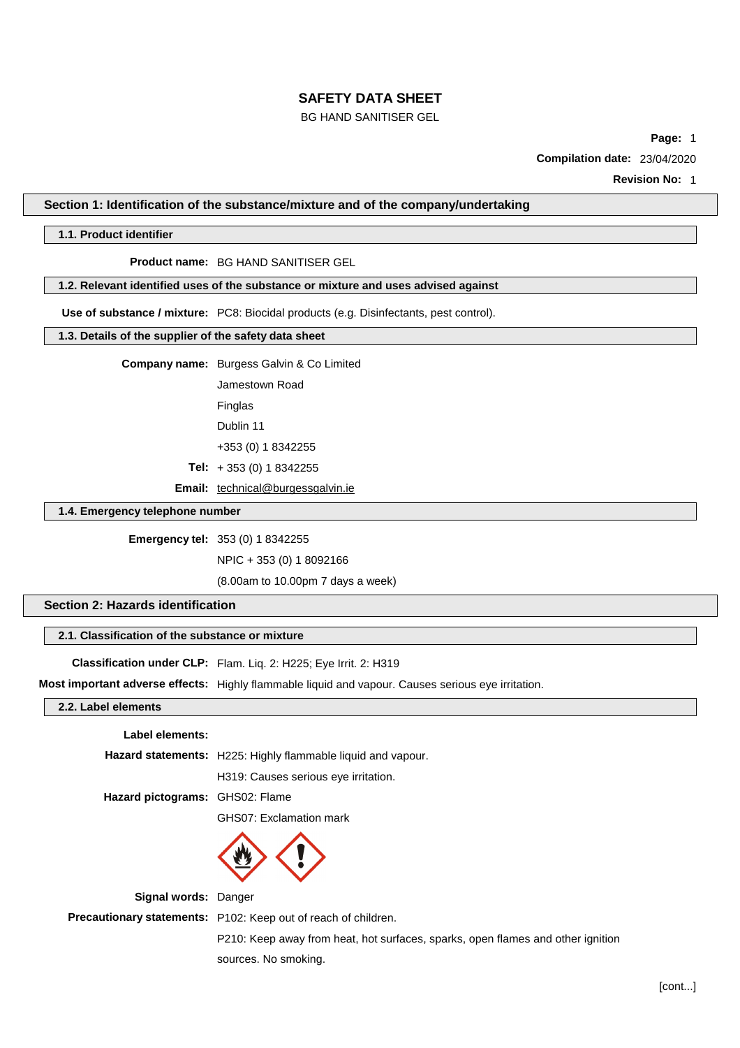# BG HAND SANITISER GEL

**Page:** 1

**Compilation date:** 23/04/2020

**Revision No:** 1

### **Section 1: Identification of the substance/mixture and of the company/undertaking**

#### **1.1. Product identifier**

#### **Product name:** BG HAND SANITISER GEL

#### **1.2. Relevant identified uses of the substance or mixture and uses advised against**

**Use of substance / mixture:** PC8: Biocidal products (e.g. Disinfectants, pest control).

### **1.3. Details of the supplier of the safety data sheet**

**Company name:** Burgess Galvin & Co Limited

Jamestown Road

Finglas

Dublin 11 +353 (0) 1 8342255

**Tel:** + 353 (0) 1 8342255

**Email:** [technical@burgessgalvin.ie](mailto:technical@burgessgalvin.ie)

**1.4. Emergency telephone number**

**Emergency tel:** 353 (0) 1 8342255

NPIC + 353 (0) 1 8092166

(8.00am to 10.00pm 7 days a week)

# **Section 2: Hazards identification**

## **2.1. Classification of the substance or mixture**

**Classification under CLP:** Flam. Liq. 2: H225; Eye Irrit. 2: H319

**Most important adverse effects:** Highly flammable liquid and vapour. Causes serious eye irritation.

### **2.2. Label elements**

#### **Label elements:**

**Hazard statements:** H225: Highly flammable liquid and vapour.

H319: Causes serious eye irritation.

**Hazard pictograms:** GHS02: Flame

GHS07: Exclamation mark



**Signal words:** Danger **Precautionary statements:** P102: Keep out of reach of children. P210: Keep away from heat, hot surfaces, sparks, open flames and other ignition sources. No smoking.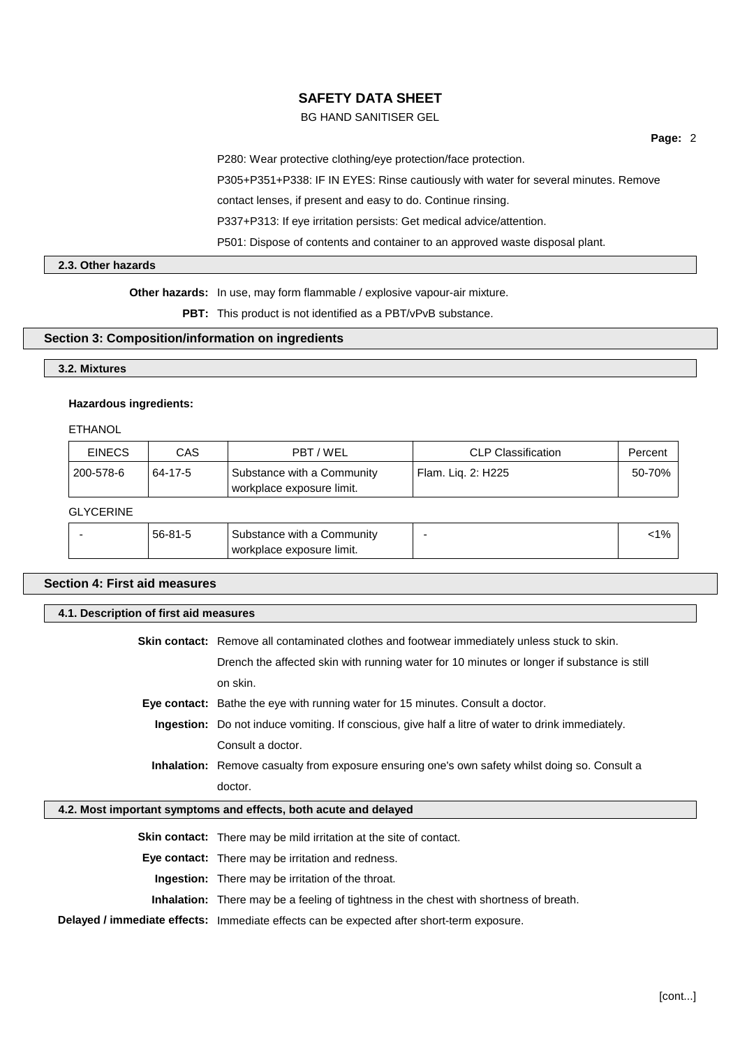# BG HAND SANITISER GEL

**Page:** 2

P280: Wear protective clothing/eye protection/face protection.

P305+P351+P338: IF IN EYES: Rinse cautiously with water for several minutes. Remove

contact lenses, if present and easy to do. Continue rinsing.

P337+P313: If eye irritation persists: Get medical advice/attention.

P501: Dispose of contents and container to an approved waste disposal plant.

### **2.3. Other hazards**

**Other hazards:** In use, may form flammable / explosive vapour-air mixture.

**PBT:** This product is not identified as a PBT/vPvB substance.

### **Section 3: Composition/information on ingredients**

### **3.2. Mixtures**

#### **Hazardous ingredients:**

#### ETHANOL

| <b>EINECS</b> | CAS     | PBT/WEL                                                 | <b>CLP Classification</b> | Percent |
|---------------|---------|---------------------------------------------------------|---------------------------|---------|
| 200-578-6     | 64-17-5 | Substance with a Community<br>workplace exposure limit. | ' Flam. Lig. 2: H225      | 50-70%  |

### GLYCERINE

| 56-81-5 | Substance with a Community | $.1\%$ |
|---------|----------------------------|--------|
|         | workplace exposure limit.  |        |

### **Section 4: First aid measures**

#### **4.1. Description of first aid measures**

**Skin contact:** Remove all contaminated clothes and footwear immediately unless stuck to skin.

Drench the affected skin with running water for 10 minutes or longer if substance is still on skin.

**Eye contact:** Bathe the eye with running water for 15 minutes. Consult a doctor.

- **Ingestion:** Do not induce vomiting. If conscious, give half a litre of water to drink immediately. Consult a doctor.
- **Inhalation:** Remove casualty from exposure ensuring one's own safety whilst doing so. Consult a doctor.

### **4.2. Most important symptoms and effects, both acute and delayed**

**Skin contact:** There may be mild irritation at the site of contact.

**Eye contact:** There may be irritation and redness.

**Ingestion:** There may be irritation of the throat.

**Inhalation:** There may be a feeling of tightness in the chest with shortness of breath.

**Delayed / immediate effects:** Immediate effects can be expected after short-term exposure.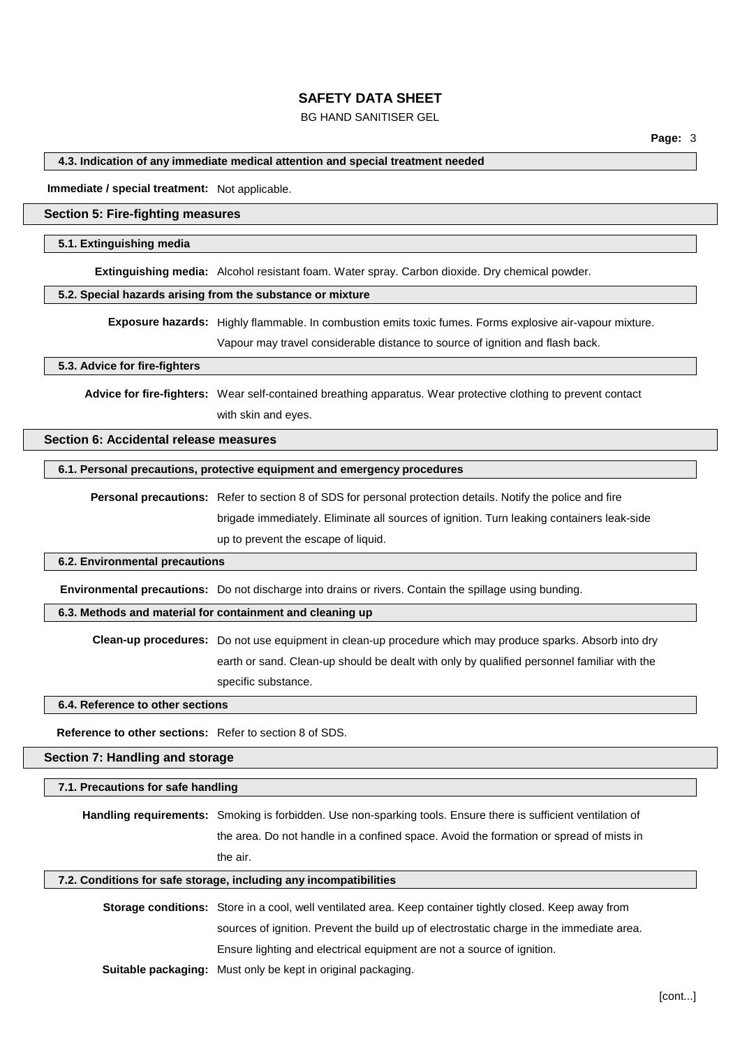# BG HAND SANITISER GEL

### **4.3. Indication of any immediate medical attention and special treatment needed**

**Immediate / special treatment:** Not applicable.

### **Section 5: Fire-fighting measures**

#### **5.1. Extinguishing media**

**Extinguishing media:** Alcohol resistant foam. Water spray. Carbon dioxide. Dry chemical powder.

### **5.2. Special hazards arising from the substance or mixture**

**Exposure hazards:** Highly flammable. In combustion emits toxic fumes. Forms explosive air-vapour mixture.

Vapour may travel considerable distance to source of ignition and flash back.

#### **5.3. Advice for fire-fighters**

**Advice for fire-fighters:** Wear self-contained breathing apparatus. Wear protective clothing to prevent contact with skin and eyes.

#### **Section 6: Accidental release measures**

### **6.1. Personal precautions, protective equipment and emergency procedures**

**Personal precautions:** Refer to section 8 of SDS for personal protection details. Notify the police and fire brigade immediately. Eliminate all sources of ignition. Turn leaking containers leak-side up to prevent the escape of liquid.

#### **6.2. Environmental precautions**

**Environmental precautions:** Do not discharge into drains or rivers. Contain the spillage using bunding.

#### **6.3. Methods and material for containment and cleaning up**

**Clean-up procedures:** Do not use equipment in clean-up procedure which may produce sparks. Absorb into dry earth or sand. Clean-up should be dealt with only by qualified personnel familiar with the specific substance.

#### **6.4. Reference to other sections**

**Reference to other sections:** Refer to section 8 of SDS.

**Section 7: Handling and storage**

#### **7.1. Precautions for safe handling**

**Handling requirements:** Smoking is forbidden. Use non-sparking tools. Ensure there is sufficient ventilation of the area. Do not handle in a confined space. Avoid the formation or spread of mists in the air.

#### **7.2. Conditions for safe storage, including any incompatibilities**

**Storage conditions:** Store in a cool, well ventilated area. Keep container tightly closed. Keep away from sources of ignition. Prevent the build up of electrostatic charge in the immediate area. Ensure lighting and electrical equipment are not a source of ignition.

**Suitable packaging:** Must only be kept in original packaging.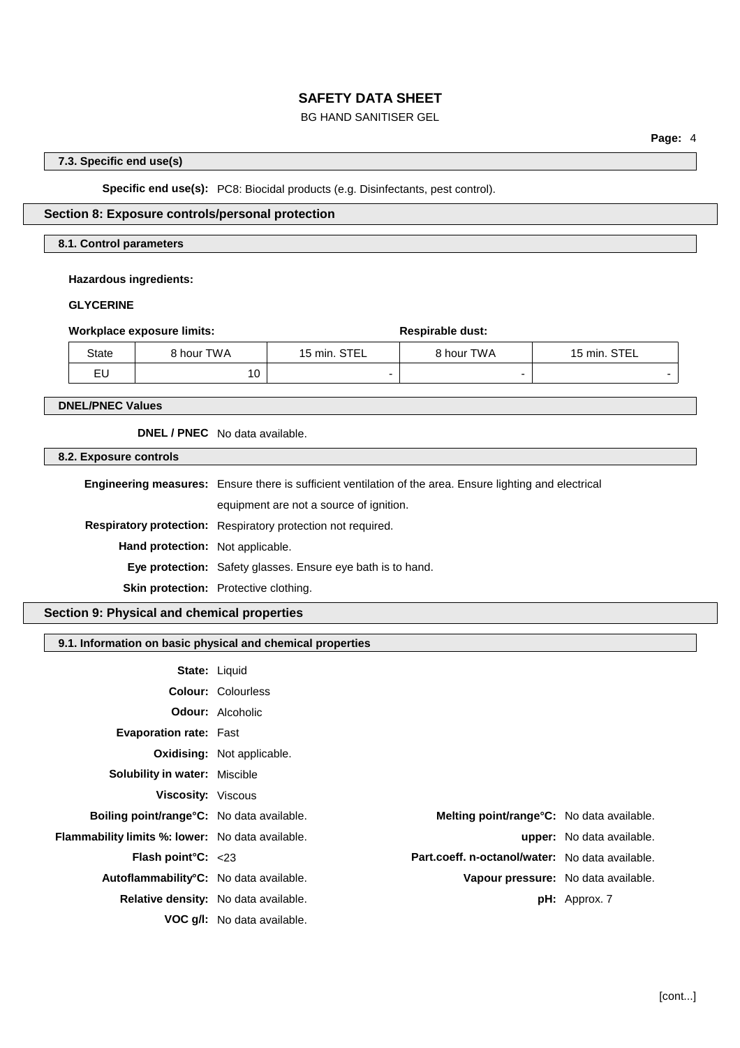## BG HAND SANITISER GEL

## **7.3. Specific end use(s)**

**Specific end use(s):** PC8: Biocidal products (e.g. Disinfectants, pest control).

## **Section 8: Exposure controls/personal protection**

### **8.1. Control parameters**

### **Hazardous ingredients:**

### **GLYCERINE**

|  |  |  |  |  |  |  |  |  |  |  |  |  | Workplace exposure limits: |
|--|--|--|--|--|--|--|--|--|--|--|--|--|----------------------------|
|--|--|--|--|--|--|--|--|--|--|--|--|--|----------------------------|

|       | Workplace exposure limits: |              | <b>Respirable dust:</b> |              |
|-------|----------------------------|--------------|-------------------------|--------------|
| State | 8 hour TWA                 | 15 min. STEL | 8 hour TWA              | 15 min. STEL |
|       | 10                         |              |                         |              |

**DNEL/PNEC Values**

**DNEL / PNEC** No data available.

**8.2. Exposure controls**

**Engineering measures:** Ensure there is sufficient ventilation of the area. Ensure lighting and electrical

equipment are not a source of ignition.

**Respiratory protection:** Respiratory protection not required.

**Hand protection:** Not applicable.

**Eye protection:** Safety glasses. Ensure eye bath is to hand.

**Skin protection:** Protective clothing.

## **Section 9: Physical and chemical properties**

# **9.1. Information on basic physical and chemical properties**

| <b>State: Liquid</b>                                    |                                                  |                                     |
|---------------------------------------------------------|--------------------------------------------------|-------------------------------------|
|                                                         | <b>Colour: Colourless</b>                        |                                     |
|                                                         | <b>Odour:</b> Alcoholic                          |                                     |
| <b>Evaporation rate: Fast</b>                           |                                                  |                                     |
|                                                         | <b>Oxidising:</b> Not applicable.                |                                     |
| <b>Solubility in water: Miscible</b>                    |                                                  |                                     |
| <b>Viscosity: Viscous</b>                               |                                                  |                                     |
| <b>Boiling point/range °C:</b> No data available.       | <b>Melting point/range°C:</b> No data available. |                                     |
| <b>Flammability limits %: lower:</b> No data available. |                                                  | <b>upper:</b> No data available.    |
| <b>Flash point °C:</b> $\leq 23$                        | Part.coeff. n-octanol/water: No data available.  |                                     |
| Autoflammability°C: No data available.                  |                                                  | Vapour pressure: No data available. |
|                                                         | <b>Relative density:</b> No data available.      | $pH:$ Approx. 7                     |
|                                                         | <b>VOC g/l:</b> No data available.               |                                     |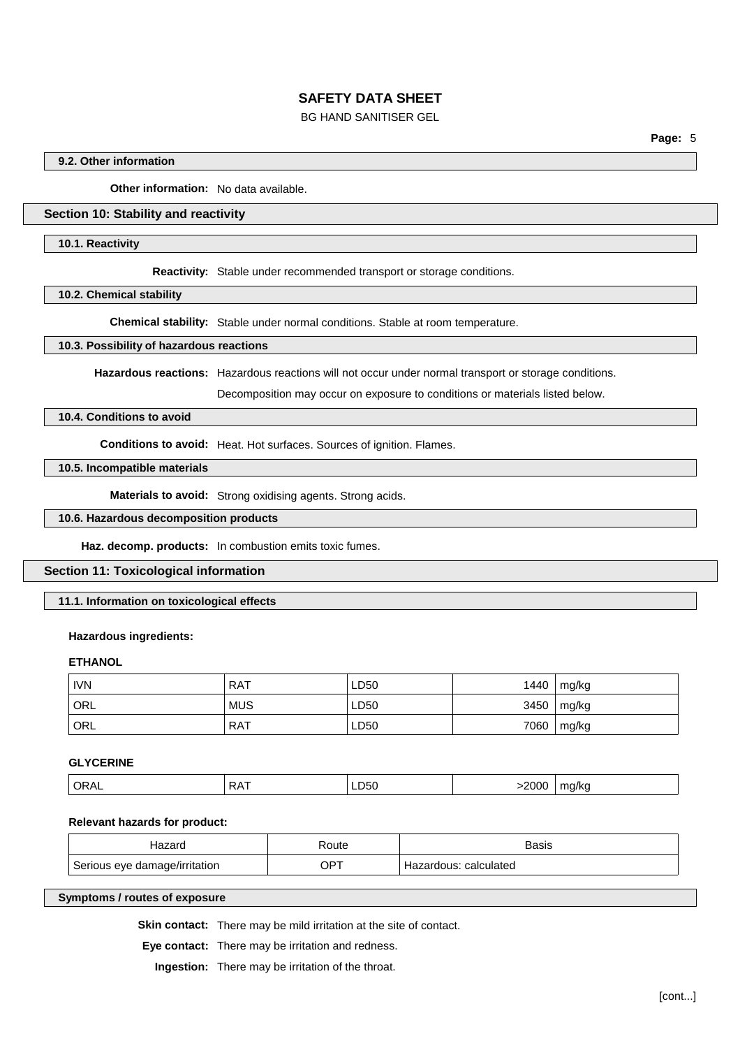# BG HAND SANITISER GEL

**Page:** 5

### **9.2. Other information**

**Other information:** No data available.

### **Section 10: Stability and reactivity**

#### **10.1. Reactivity**

**Reactivity:** Stable under recommended transport or storage conditions.

**10.2. Chemical stability**

**Chemical stability:** Stable under normal conditions. Stable at room temperature.

#### **10.3. Possibility of hazardous reactions**

**Hazardous reactions:** Hazardous reactions will not occur under normal transport or storage conditions.

Decomposition may occur on exposure to conditions or materials listed below.

# **10.4. Conditions to avoid**

**Conditions to avoid:** Heat. Hot surfaces. Sources of ignition. Flames.

## **10.5. Incompatible materials**

**Materials to avoid:** Strong oxidising agents. Strong acids.

### **10.6. Hazardous decomposition products**

**Haz. decomp. products:** In combustion emits toxic fumes.

#### **Section 11: Toxicological information**

### **11.1. Information on toxicological effects**

#### **Hazardous ingredients:**

#### **ETHANOL**

| <b>IVN</b> | <b>RAT</b> | LD50 | 1440 | mg/kg |
|------------|------------|------|------|-------|
| ' ORL      | <b>MUS</b> | LD50 | 3450 | mg/kg |
| ORL        | <b>RAT</b> | LD50 | 7060 | mg/kg |

#### **GLYCERINE**

| OR<br>–…… | RА | LD50<br>$ -$ | 2000<br>w<br>$\cdot$<br>. | ma/kr<br>. . |
|-----------|----|--------------|---------------------------|--------------|
|           |    |              |                           |              |

### **Relevant hazards for product:**

| Hazard                        | Route | Basis                 |
|-------------------------------|-------|-----------------------|
| Serious eye damage/irritation | OPT   | Hazardous: calculated |

### **Symptoms / routes of exposure**

**Skin contact:** There may be mild irritation at the site of contact.

**Eye contact:** There may be irritation and redness.

**Ingestion:** There may be irritation of the throat.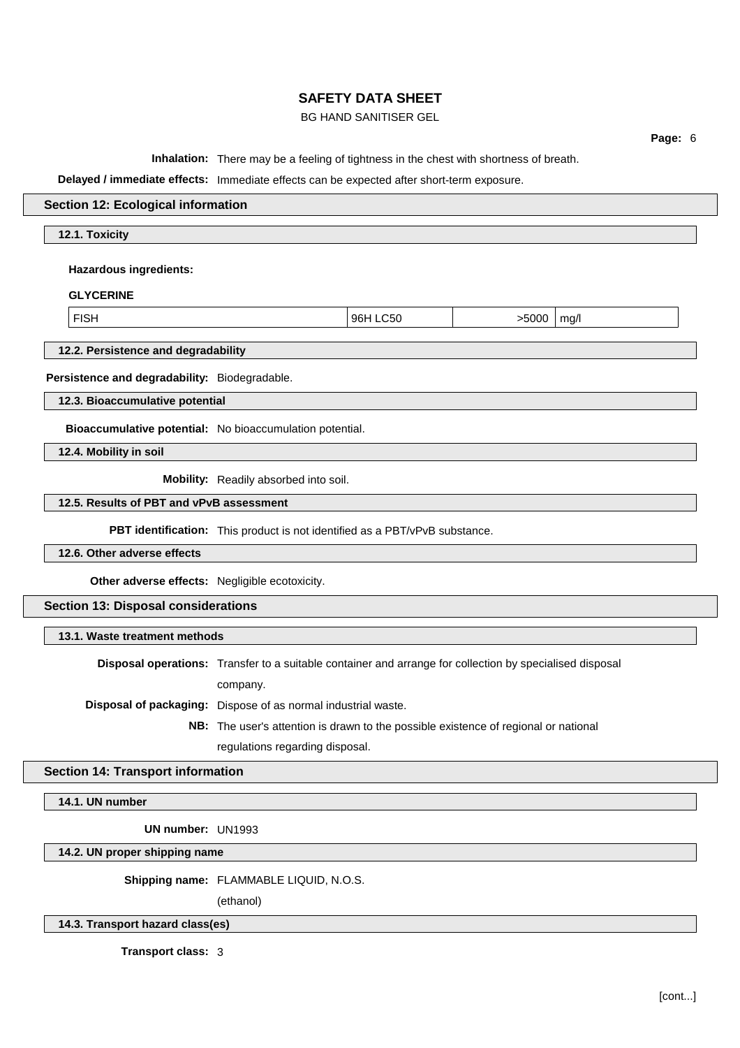# BG HAND SANITISER GEL

**Page:** 6

**Inhalation:** There may be a feeling of tightness in the chest with shortness of breath.

**Delayed / immediate effects:** Immediate effects can be expected after short-term exposure.

### **Section 12: Ecological information**

**12.1. Toxicity**

#### **Hazardous ingredients:**

# **GLYCERINE**

FISH 96H LC50 >5000 | mg/l

**12.2. Persistence and degradability**

**Persistence and degradability:** Biodegradable.

**12.3. Bioaccumulative potential**

**Bioaccumulative potential:** No bioaccumulation potential.

**12.4. Mobility in soil**

**Mobility:** Readily absorbed into soil.

### **12.5. Results of PBT and vPvB assessment**

**PBT identification:** This product is not identified as a PBT/vPvB substance.

# **12.6. Other adverse effects**

**Other adverse effects:** Negligible ecotoxicity.

**Section 13: Disposal considerations**

### **13.1. Waste treatment methods**

**Disposal operations:** Transfer to a suitable container and arrange for collection by specialised disposal company.

**Disposal of packaging:** Dispose of as normal industrial waste.

**NB:** The user's attention is drawn to the possible existence of regional or national regulations regarding disposal.

### **Section 14: Transport information**

**14.1. UN number**

**UN number:** UN1993

**14.2. UN proper shipping name**

**Shipping name:** FLAMMABLE LIQUID, N.O.S.

(ethanol)

### **14.3. Transport hazard class(es)**

**Transport class:** 3